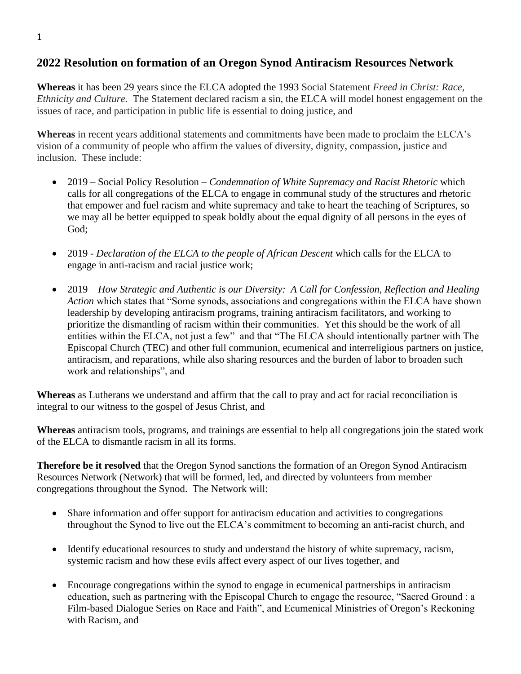## **2022 Resolution on formation of an Oregon Synod Antiracism Resources Network**

**Whereas** it has been 29 years since the ELCA adopted the 1993 Social Statement *Freed in Christ: Race, Ethnicity and Culture.* The Statement declared racism a sin, the ELCA will model honest engagement on the issues of race, and participation in public life is essential to doing justice, and

**Whereas** in recent years additional statements and commitments have been made to proclaim the ELCA's vision of a community of people who affirm the values of diversity, dignity, compassion, justice and inclusion. These include:

- 2019 Social Policy Resolution *Condemnation of White Supremacy and Racist Rhetoric* which calls for all congregations of the ELCA to engage in communal study of the structures and rhetoric that empower and fuel racism and white supremacy and take to heart the teaching of Scriptures, so we may all be better equipped to speak boldly about the equal dignity of all persons in the eyes of God;
- 2019 *Declaration of the ELCA to the people of African Descent* which calls for the ELCA to engage in anti-racism and racial justice work;
- 2019 *How Strategic and Authentic is our Diversity: A Call for Confession, Reflection and Healing Action* which states that "Some synods, associations and congregations within the ELCA have shown leadership by developing antiracism programs, training antiracism facilitators, and working to prioritize the dismantling of racism within their communities. Yet this should be the work of all entities within the ELCA, not just a few" and that "The ELCA should intentionally partner with The Episcopal Church (TEC) and other full communion, ecumenical and interreligious partners on justice, antiracism, and reparations, while also sharing resources and the burden of labor to broaden such work and relationships", and

**Whereas** as Lutherans we understand and affirm that the call to pray and act for racial reconciliation is integral to our witness to the gospel of Jesus Christ, and

**Whereas** antiracism tools, programs, and trainings are essential to help all congregations join the stated work of the ELCA to dismantle racism in all its forms.

**Therefore be it resolved** that the Oregon Synod sanctions the formation of an Oregon Synod Antiracism Resources Network (Network) that will be formed, led, and directed by volunteers from member congregations throughout the Synod. The Network will:

- Share information and offer support for antiracism education and activities to congregations throughout the Synod to live out the ELCA's commitment to becoming an anti-racist church, and
- Identify educational resources to study and understand the history of white supremacy, racism, systemic racism and how these evils affect every aspect of our lives together, and
- Encourage congregations within the synod to engage in ecumenical partnerships in antiracism education, such as partnering with the Episcopal Church to engage the resource, "Sacred Ground : a Film-based Dialogue Series on Race and Faith", and Ecumenical Ministries of Oregon's Reckoning with Racism, and